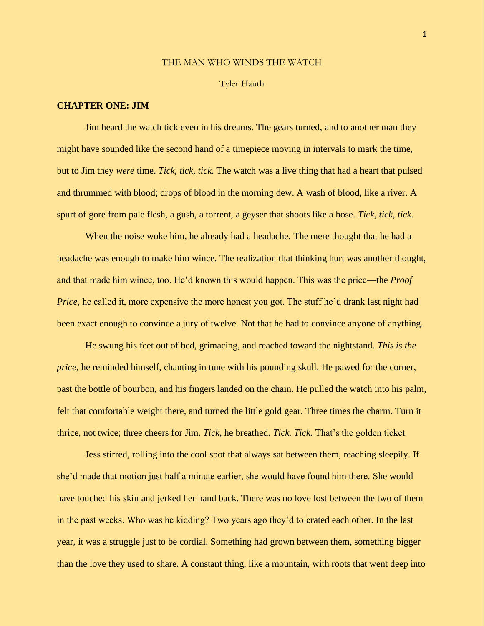### THE MAN WHO WINDS THE WATCH

#### Tyler Hauth

## **CHAPTER ONE: JIM**

Jim heard the watch tick even in his dreams. The gears turned, and to another man they might have sounded like the second hand of a timepiece moving in intervals to mark the time, but to Jim they *were* time. *Tick, tick, tick*. The watch was a live thing that had a heart that pulsed and thrummed with blood; drops of blood in the morning dew. A wash of blood, like a river. A spurt of gore from pale flesh, a gush, a torrent, a geyser that shoots like a hose. *Tick, tick, tick*.

When the noise woke him, he already had a headache. The mere thought that he had a headache was enough to make him wince. The realization that thinking hurt was another thought, and that made him wince, too. He'd known this would happen. This was the price—the *Proof Price*, he called it, more expensive the more honest you got. The stuff he'd drank last night had been exact enough to convince a jury of twelve. Not that he had to convince anyone of anything.

He swung his feet out of bed, grimacing, and reached toward the nightstand. *This is the price,* he reminded himself, chanting in tune with his pounding skull. He pawed for the corner, past the bottle of bourbon, and his fingers landed on the chain. He pulled the watch into his palm, felt that comfortable weight there, and turned the little gold gear. Three times the charm. Turn it thrice, not twice; three cheers for Jim. *Tick,* he breathed. *Tick. Tick.* That's the golden ticket.

Jess stirred, rolling into the cool spot that always sat between them, reaching sleepily. If she'd made that motion just half a minute earlier, she would have found him there. She would have touched his skin and jerked her hand back. There was no love lost between the two of them in the past weeks. Who was he kidding? Two years ago they'd tolerated each other. In the last year, it was a struggle just to be cordial. Something had grown between them, something bigger than the love they used to share. A constant thing, like a mountain, with roots that went deep into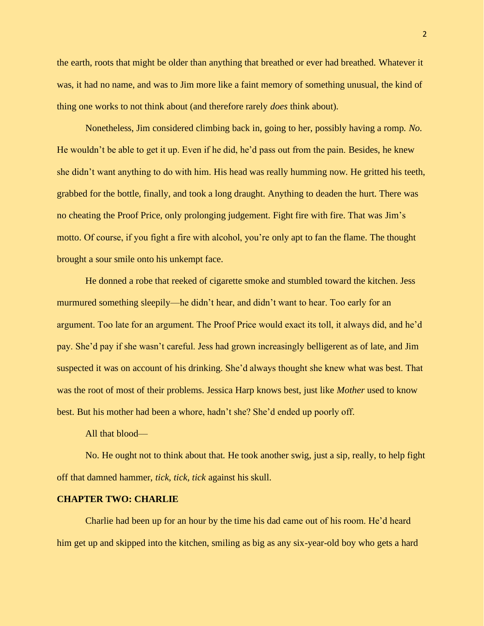the earth, roots that might be older than anything that breathed or ever had breathed. Whatever it was, it had no name, and was to Jim more like a faint memory of something unusual, the kind of thing one works to not think about (and therefore rarely *does* think about).

Nonetheless, Jim considered climbing back in, going to her, possibly having a romp. *No*. He wouldn't be able to get it up. Even if he did, he'd pass out from the pain. Besides, he knew she didn't want anything to do with him. His head was really humming now. He gritted his teeth, grabbed for the bottle, finally, and took a long draught. Anything to deaden the hurt. There was no cheating the Proof Price, only prolonging judgement. Fight fire with fire. That was Jim's motto. Of course, if you fight a fire with alcohol, you're only apt to fan the flame. The thought brought a sour smile onto his unkempt face.

He donned a robe that reeked of cigarette smoke and stumbled toward the kitchen. Jess murmured something sleepily—he didn't hear, and didn't want to hear. Too early for an argument. Too late for an argument. The Proof Price would exact its toll, it always did, and he'd pay. She'd pay if she wasn't careful. Jess had grown increasingly belligerent as of late, and Jim suspected it was on account of his drinking. She'd always thought she knew what was best. That was the root of most of their problems. Jessica Harp knows best, just like *Mother* used to know best. But his mother had been a whore, hadn't she? She'd ended up poorly off.

## All that blood—

No. He ought not to think about that. He took another swig, just a sip, really, to help fight off that damned hammer, *tick, tick, tick* against his skull.

### **CHAPTER TWO: CHARLIE**

Charlie had been up for an hour by the time his dad came out of his room. He'd heard him get up and skipped into the kitchen, smiling as big as any six-year-old boy who gets a hard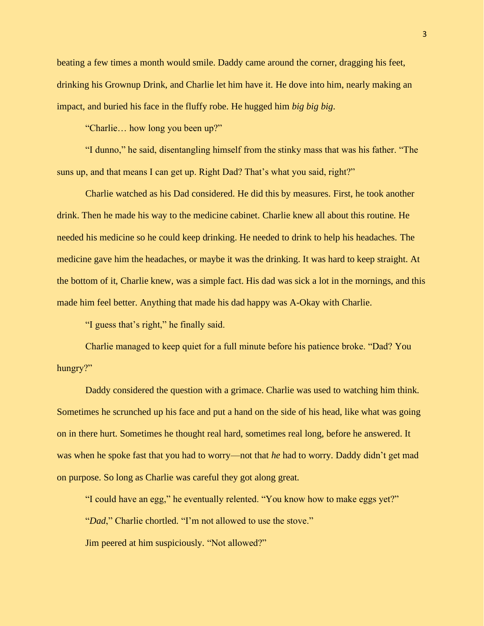beating a few times a month would smile. Daddy came around the corner, dragging his feet, drinking his Grownup Drink, and Charlie let him have it. He dove into him, nearly making an impact, and buried his face in the fluffy robe. He hugged him *big big big*.

"Charlie… how long you been up?"

"I dunno," he said, disentangling himself from the stinky mass that was his father. "The suns up, and that means I can get up. Right Dad? That's what you said, right?"

Charlie watched as his Dad considered. He did this by measures. First, he took another drink. Then he made his way to the medicine cabinet. Charlie knew all about this routine. He needed his medicine so he could keep drinking. He needed to drink to help his headaches. The medicine gave him the headaches, or maybe it was the drinking. It was hard to keep straight. At the bottom of it, Charlie knew, was a simple fact. His dad was sick a lot in the mornings, and this made him feel better. Anything that made his dad happy was A-Okay with Charlie.

"I guess that's right," he finally said.

Charlie managed to keep quiet for a full minute before his patience broke. "Dad? You hungry?"

Daddy considered the question with a grimace. Charlie was used to watching him think. Sometimes he scrunched up his face and put a hand on the side of his head, like what was going on in there hurt. Sometimes he thought real hard, sometimes real long, before he answered. It was when he spoke fast that you had to worry—not that *he* had to worry. Daddy didn't get mad on purpose. So long as Charlie was careful they got along great.

"I could have an egg," he eventually relented. "You know how to make eggs yet?" "*Dad*," Charlie chortled. "I'm not allowed to use the stove." Jim peered at him suspiciously. "Not allowed?"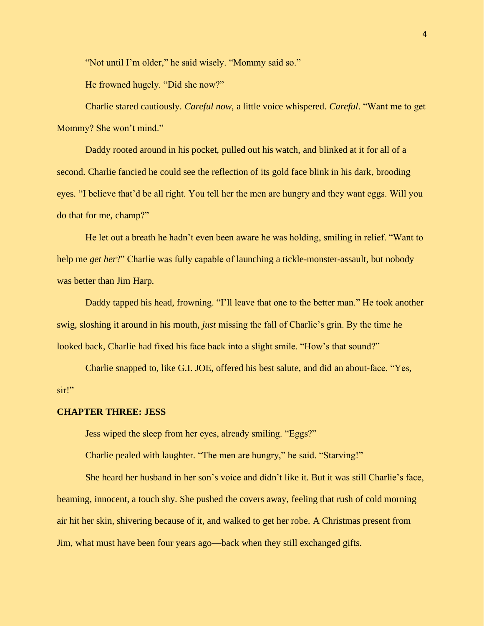"Not until I'm older," he said wisely. "Mommy said so."

He frowned hugely. "Did she now?"

Charlie stared cautiously. *Careful now*, a little voice whispered. *Careful*. "Want me to get Mommy? She won't mind."

Daddy rooted around in his pocket, pulled out his watch, and blinked at it for all of a second. Charlie fancied he could see the reflection of its gold face blink in his dark, brooding eyes. "I believe that'd be all right. You tell her the men are hungry and they want eggs. Will you do that for me, champ?"

He let out a breath he hadn't even been aware he was holding, smiling in relief. "Want to help me *get her*?" Charlie was fully capable of launching a tickle-monster-assault, but nobody was better than Jim Harp.

Daddy tapped his head, frowning. "I'll leave that one to the better man." He took another swig, sloshing it around in his mouth, *just* missing the fall of Charlie's grin. By the time he looked back, Charlie had fixed his face back into a slight smile. "How's that sound?"

Charlie snapped to, like G.I. JOE, offered his best salute, and did an about-face. "Yes, sir!"

## **CHAPTER THREE: JESS**

Jess wiped the sleep from her eyes, already smiling. "Eggs?"

Charlie pealed with laughter. "The men are hungry," he said. "Starving!"

She heard her husband in her son's voice and didn't like it. But it was still Charlie's face, beaming, innocent, a touch shy. She pushed the covers away, feeling that rush of cold morning air hit her skin, shivering because of it, and walked to get her robe. A Christmas present from Jim, what must have been four years ago—back when they still exchanged gifts.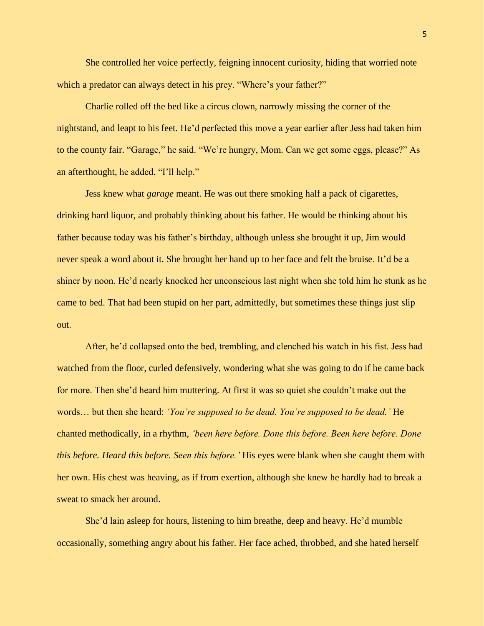She controlled her voice perfectly, feigning innocent curiosity, hiding that worried note which a predator can always detect in his prey. "Where's your father?"

Charlie rolled off the bed like a circus clown, narrowly missing the corner of the nightstand, and leapt to his feet. He'd perfected this move a year earlier after Jess had taken him to the county fair. "Garage," he said. "We're hungry, Mom. Can we get some eggs, please?" As an afterthought, he added, "I'll help."

Jess knew what *garage* meant. He was out there smoking half a pack of cigarettes, drinking hard liquor, and probably thinking about his father. He would be thinking about his father because today was his father's birthday, although unless she brought it up, Jim would never speak a word about it. She brought her hand up to her face and felt the bruise. It'd be a shiner by noon. He'd nearly knocked her unconscious last night when she told him he stunk as he came to bed. That had been stupid on her part, admittedly, but sometimes these things just slip out.

After, he'd collapsed onto the bed, trembling, and clenched his watch in his fist. Jess had watched from the floor, curled defensively, wondering what she was going to do if he came back for more. Then she'd heard him muttering. At first it was so quiet she couldn't make out the words… but then she heard: *'You're supposed to be dead. You're supposed to be dead.'* He chanted methodically, in a rhythm, *'been here before. Done this before. Been here before. Done this before. Heard this before. Seen this before.'* His eyes were blank when she caught them with her own. His chest was heaving, as if from exertion, although she knew he hardly had to break a sweat to smack her around.

She'd lain asleep for hours, listening to him breathe, deep and heavy. He'd mumble occasionally, something angry about his father. Her face ached, throbbed, and she hated herself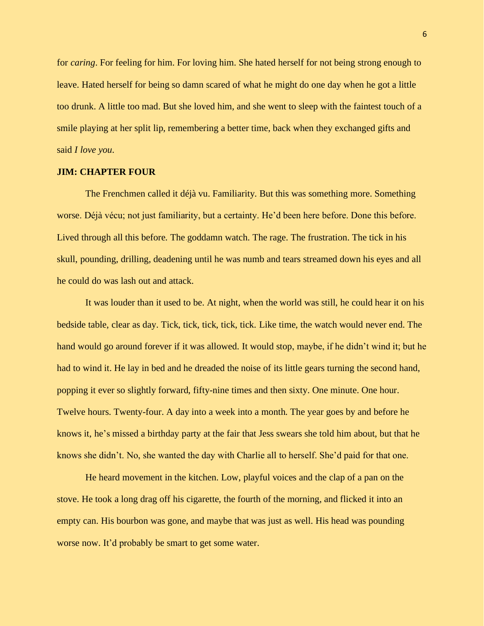for *caring*. For feeling for him. For loving him. She hated herself for not being strong enough to leave. Hated herself for being so damn scared of what he might do one day when he got a little too drunk. A little too mad. But she loved him, and she went to sleep with the faintest touch of a smile playing at her split lip, remembering a better time, back when they exchanged gifts and said *I love you*.

# **JIM: CHAPTER FOUR**

The Frenchmen called it déjà vu. Familiarity. But this was something more. Something worse. Déjà vécu; not just familiarity, but a certainty. He'd been here before. Done this before. Lived through all this before. The goddamn watch. The rage. The frustration. The tick in his skull, pounding, drilling, deadening until he was numb and tears streamed down his eyes and all he could do was lash out and attack.

It was louder than it used to be. At night, when the world was still, he could hear it on his bedside table, clear as day. Tick, tick, tick, tick, tick. Like time, the watch would never end. The hand would go around forever if it was allowed. It would stop, maybe, if he didn't wind it; but he had to wind it. He lay in bed and he dreaded the noise of its little gears turning the second hand, popping it ever so slightly forward, fifty-nine times and then sixty. One minute. One hour. Twelve hours. Twenty-four. A day into a week into a month. The year goes by and before he knows it, he's missed a birthday party at the fair that Jess swears she told him about, but that he knows she didn't. No, she wanted the day with Charlie all to herself. She'd paid for that one.

He heard movement in the kitchen. Low, playful voices and the clap of a pan on the stove. He took a long drag off his cigarette, the fourth of the morning, and flicked it into an empty can. His bourbon was gone, and maybe that was just as well. His head was pounding worse now. It'd probably be smart to get some water.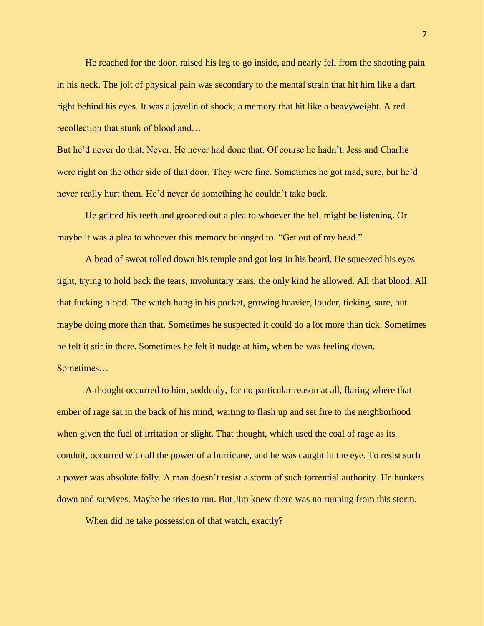He reached for the door, raised his leg to go inside, and nearly fell from the shooting pain in his neck. The jolt of physical pain was secondary to the mental strain that hit him like a dart right behind his eyes. It was a javelin of shock; a memory that hit like a heavyweight. A red recollection that stunk of blood and…

But he'd never do that. Never. He never had done that. Of course he hadn't. Jess and Charlie were right on the other side of that door. They were fine. Sometimes he got mad, sure, but he'd never really hurt them. He'd never do something he couldn't take back.

He gritted his teeth and groaned out a plea to whoever the hell might be listening. Or maybe it was a plea to whoever this memory belonged to. "Get out of my head."

A bead of sweat rolled down his temple and got lost in his beard. He squeezed his eyes tight, trying to hold back the tears, involuntary tears, the only kind he allowed. All that blood. All that fucking blood. The watch hung in his pocket, growing heavier, louder, ticking, sure, but maybe doing more than that. Sometimes he suspected it could do a lot more than tick. Sometimes he felt it stir in there. Sometimes he felt it nudge at him, when he was feeling down. Sometimes…

A thought occurred to him, suddenly, for no particular reason at all, flaring where that ember of rage sat in the back of his mind, waiting to flash up and set fire to the neighborhood when given the fuel of irritation or slight. That thought, which used the coal of rage as its conduit, occurred with all the power of a hurricane, and he was caught in the eye. To resist such a power was absolute folly. A man doesn't resist a storm of such torrential authority. He hunkers down and survives. Maybe he tries to run. But Jim knew there was no running from this storm.

When did he take possession of that watch, exactly?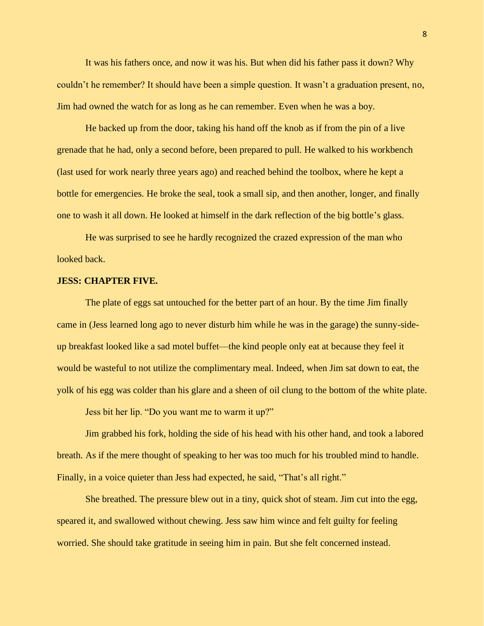It was his fathers once, and now it was his. But when did his father pass it down? Why couldn't he remember? It should have been a simple question. It wasn't a graduation present, no, Jim had owned the watch for as long as he can remember. Even when he was a boy.

He backed up from the door, taking his hand off the knob as if from the pin of a live grenade that he had, only a second before, been prepared to pull. He walked to his workbench (last used for work nearly three years ago) and reached behind the toolbox, where he kept a bottle for emergencies. He broke the seal, took a small sip, and then another, longer, and finally one to wash it all down. He looked at himself in the dark reflection of the big bottle's glass.

He was surprised to see he hardly recognized the crazed expression of the man who looked back.

### **JESS: CHAPTER FIVE.**

The plate of eggs sat untouched for the better part of an hour. By the time Jim finally came in (Jess learned long ago to never disturb him while he was in the garage) the sunny-sideup breakfast looked like a sad motel buffet—the kind people only eat at because they feel it would be wasteful to not utilize the complimentary meal. Indeed, when Jim sat down to eat, the yolk of his egg was colder than his glare and a sheen of oil clung to the bottom of the white plate.

Jess bit her lip. "Do you want me to warm it up?"

Jim grabbed his fork, holding the side of his head with his other hand, and took a labored breath. As if the mere thought of speaking to her was too much for his troubled mind to handle. Finally, in a voice quieter than Jess had expected, he said, "That's all right."

She breathed. The pressure blew out in a tiny, quick shot of steam. Jim cut into the egg, speared it, and swallowed without chewing. Jess saw him wince and felt guilty for feeling worried. She should take gratitude in seeing him in pain. But she felt concerned instead.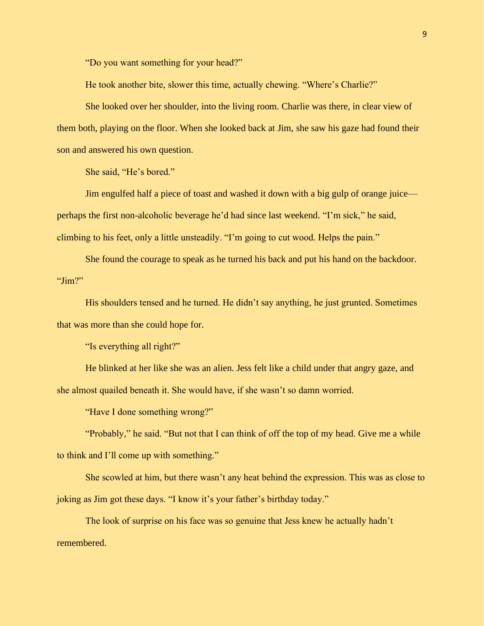"Do you want something for your head?"

He took another bite, slower this time, actually chewing. "Where's Charlie?"

She looked over her shoulder, into the living room. Charlie was there, in clear view of them both, playing on the floor. When she looked back at Jim, she saw his gaze had found their son and answered his own question.

She said, "He's bored."

Jim engulfed half a piece of toast and washed it down with a big gulp of orange juice perhaps the first non-alcoholic beverage he'd had since last weekend. "I'm sick," he said, climbing to his feet, only a little unsteadily. "I'm going to cut wood. Helps the pain."

She found the courage to speak as he turned his back and put his hand on the backdoor. "Jim?"

His shoulders tensed and he turned. He didn't say anything, he just grunted. Sometimes that was more than she could hope for.

"Is everything all right?"

He blinked at her like she was an alien. Jess felt like a child under that angry gaze, and she almost quailed beneath it. She would have, if she wasn't so damn worried.

"Have I done something wrong?"

"Probably," he said. "But not that I can think of off the top of my head. Give me a while to think and I'll come up with something."

She scowled at him, but there wasn't any heat behind the expression. This was as close to joking as Jim got these days. "I know it's your father's birthday today."

The look of surprise on his face was so genuine that Jess knew he actually hadn't remembered.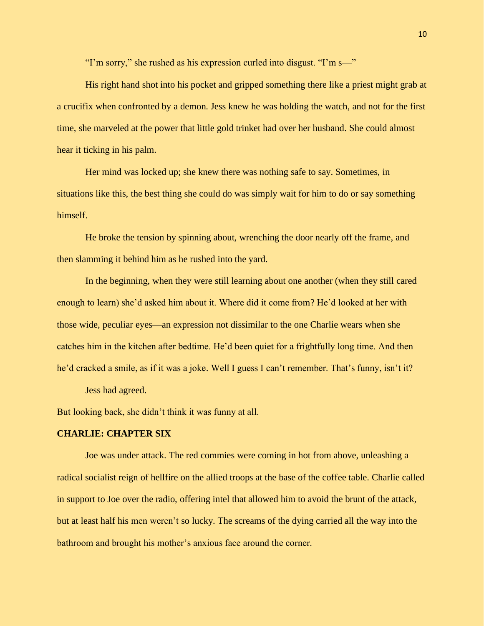"I'm sorry," she rushed as his expression curled into disgust. "I'm s—"

His right hand shot into his pocket and gripped something there like a priest might grab at a crucifix when confronted by a demon. Jess knew he was holding the watch, and not for the first time, she marveled at the power that little gold trinket had over her husband. She could almost hear it ticking in his palm.

Her mind was locked up; she knew there was nothing safe to say. Sometimes, in situations like this, the best thing she could do was simply wait for him to do or say something himself.

He broke the tension by spinning about, wrenching the door nearly off the frame, and then slamming it behind him as he rushed into the yard.

In the beginning, when they were still learning about one another (when they still cared enough to learn) she'd asked him about it. Where did it come from? He'd looked at her with those wide, peculiar eyes—an expression not dissimilar to the one Charlie wears when she catches him in the kitchen after bedtime. He'd been quiet for a frightfully long time. And then he'd cracked a smile, as if it was a joke. Well I guess I can't remember. That's funny, isn't it?

Jess had agreed.

But looking back, she didn't think it was funny at all.

# **CHARLIE: CHAPTER SIX**

Joe was under attack. The red commies were coming in hot from above, unleashing a radical socialist reign of hellfire on the allied troops at the base of the coffee table. Charlie called in support to Joe over the radio, offering intel that allowed him to avoid the brunt of the attack, but at least half his men weren't so lucky. The screams of the dying carried all the way into the bathroom and brought his mother's anxious face around the corner.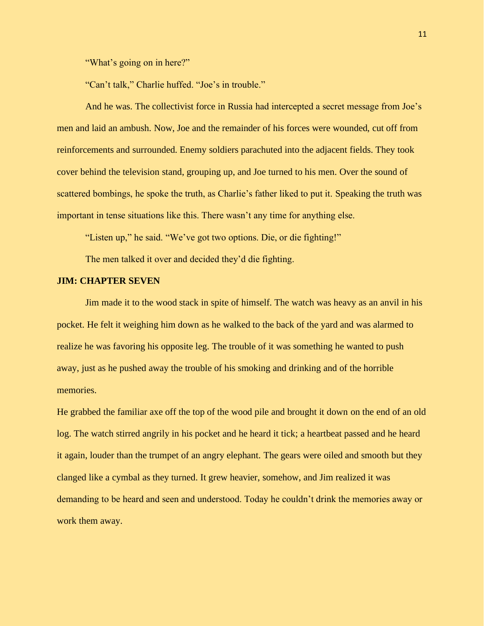"What's going on in here?"

"Can't talk," Charlie huffed. "Joe's in trouble."

And he was. The collectivist force in Russia had intercepted a secret message from Joe's men and laid an ambush. Now, Joe and the remainder of his forces were wounded, cut off from reinforcements and surrounded. Enemy soldiers parachuted into the adjacent fields. They took cover behind the television stand, grouping up, and Joe turned to his men. Over the sound of scattered bombings, he spoke the truth, as Charlie's father liked to put it. Speaking the truth was important in tense situations like this. There wasn't any time for anything else.

"Listen up," he said. "We've got two options. Die, or die fighting!"

The men talked it over and decided they'd die fighting.

## **JIM: CHAPTER SEVEN**

Jim made it to the wood stack in spite of himself. The watch was heavy as an anvil in his pocket. He felt it weighing him down as he walked to the back of the yard and was alarmed to realize he was favoring his opposite leg. The trouble of it was something he wanted to push away, just as he pushed away the trouble of his smoking and drinking and of the horrible memories.

He grabbed the familiar axe off the top of the wood pile and brought it down on the end of an old log. The watch stirred angrily in his pocket and he heard it tick; a heartbeat passed and he heard it again, louder than the trumpet of an angry elephant. The gears were oiled and smooth but they clanged like a cymbal as they turned. It grew heavier, somehow, and Jim realized it was demanding to be heard and seen and understood. Today he couldn't drink the memories away or work them away.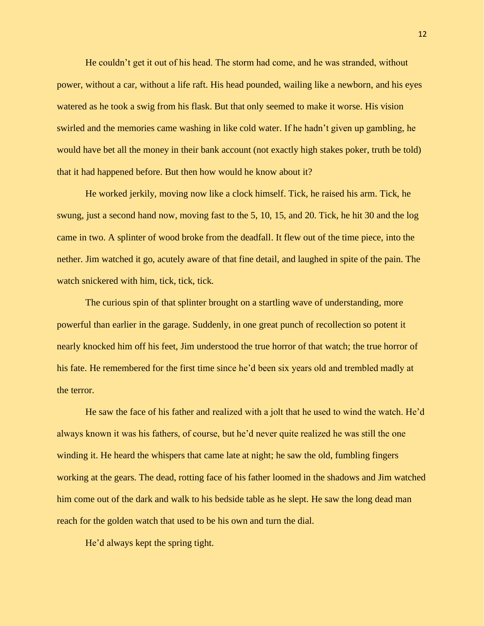He couldn't get it out of his head. The storm had come, and he was stranded, without power, without a car, without a life raft. His head pounded, wailing like a newborn, and his eyes watered as he took a swig from his flask. But that only seemed to make it worse. His vision swirled and the memories came washing in like cold water. If he hadn't given up gambling, he would have bet all the money in their bank account (not exactly high stakes poker, truth be told) that it had happened before. But then how would he know about it?

He worked jerkily, moving now like a clock himself. Tick, he raised his arm. Tick, he swung, just a second hand now, moving fast to the 5, 10, 15, and 20. Tick, he hit 30 and the log came in two. A splinter of wood broke from the deadfall. It flew out of the time piece, into the nether. Jim watched it go, acutely aware of that fine detail, and laughed in spite of the pain. The watch snickered with him, tick, tick, tick.

The curious spin of that splinter brought on a startling wave of understanding, more powerful than earlier in the garage. Suddenly, in one great punch of recollection so potent it nearly knocked him off his feet, Jim understood the true horror of that watch; the true horror of his fate. He remembered for the first time since he'd been six years old and trembled madly at the terror.

He saw the face of his father and realized with a jolt that he used to wind the watch. He'd always known it was his fathers, of course, but he'd never quite realized he was still the one winding it. He heard the whispers that came late at night; he saw the old, fumbling fingers working at the gears. The dead, rotting face of his father loomed in the shadows and Jim watched him come out of the dark and walk to his bedside table as he slept. He saw the long dead man reach for the golden watch that used to be his own and turn the dial.

He'd always kept the spring tight.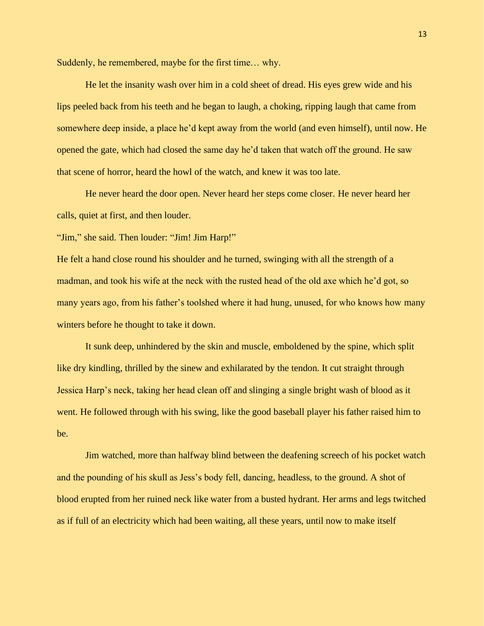Suddenly, he remembered, maybe for the first time… why.

He let the insanity wash over him in a cold sheet of dread. His eyes grew wide and his lips peeled back from his teeth and he began to laugh, a choking, ripping laugh that came from somewhere deep inside, a place he'd kept away from the world (and even himself), until now. He opened the gate, which had closed the same day he'd taken that watch off the ground. He saw that scene of horror, heard the howl of the watch, and knew it was too late.

He never heard the door open. Never heard her steps come closer. He never heard her calls, quiet at first, and then louder.

"Jim," she said. Then louder: "Jim! Jim Harp!"

He felt a hand close round his shoulder and he turned, swinging with all the strength of a madman, and took his wife at the neck with the rusted head of the old axe which he'd got, so many years ago, from his father's toolshed where it had hung, unused, for who knows how many winters before he thought to take it down.

It sunk deep, unhindered by the skin and muscle, emboldened by the spine, which split like dry kindling, thrilled by the sinew and exhilarated by the tendon. It cut straight through Jessica Harp's neck, taking her head clean off and slinging a single bright wash of blood as it went. He followed through with his swing, like the good baseball player his father raised him to be.

Jim watched, more than halfway blind between the deafening screech of his pocket watch and the pounding of his skull as Jess's body fell, dancing, headless, to the ground. A shot of blood erupted from her ruined neck like water from a busted hydrant. Her arms and legs twitched as if full of an electricity which had been waiting, all these years, until now to make itself